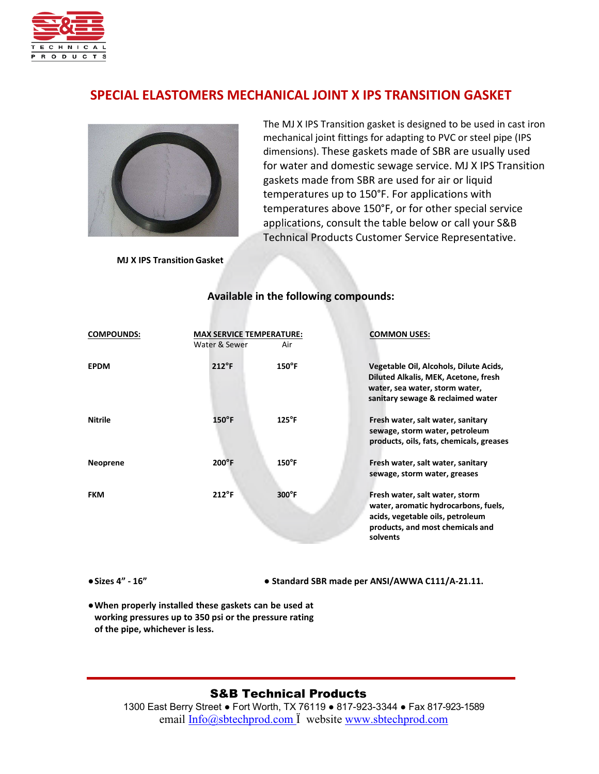

# **SPECIAL ELASTOMERS MECHANICAL JOINT X IPS TRANSITION GASKET**



The MJ X IPS Transition gasket is designed to be used in cast iron mechanical joint fittings for adapting to PVC or steel pipe (IPS dimensions). These gaskets made of SBR are usually used for water and domestic sewage service. MJ X IPS Transition gaskets made from SBR are used for air or liquid temperatures up to 150°F. For applications with temperatures above 150°F, or for other special service applications, consult the table below or call your S&B Technical Products Customer Service Representative.

**MJ X IPS Transition Gasket**

| <b>COMPOUNDS:</b> | <b>MAX SERVICE TEMPERATURE:</b><br>Water & Sewer | Air             | <b>COMMON USES:</b>                                                                                                                                        |
|-------------------|--------------------------------------------------|-----------------|------------------------------------------------------------------------------------------------------------------------------------------------------------|
| <b>EPDM</b>       | $212^{\circ}F$                                   | $150^{\circ}$ F | Vegetable Oil, Alcohols, Dilute Acids,<br>Diluted Alkalis, MEK, Acetone, fresh<br>water, sea water, storm water,<br>sanitary sewage & reclaimed water      |
| <b>Nitrile</b>    | $150^{\circ}$ F                                  | $125^{\circ}$ F | Fresh water, salt water, sanitary<br>sewage, storm water, petroleum<br>products, oils, fats, chemicals, greases                                            |
| <b>Neoprene</b>   | $200^{\circ}$ F                                  | $150^{\circ}$ F | Fresh water, salt water, sanitary<br>sewage, storm water, greases                                                                                          |
| <b>FKM</b>        | $212^{\circ}$ F                                  | $300^{\circ}$ F | Fresh water, salt water, storm<br>water, aromatic hydrocarbons, fuels,<br>acids, vegetable oils, petroleum<br>products, and most chemicals and<br>solvents |

#### **Available in the following compounds:**

**●Sizes 4" - 16"** ● **Standard SBR made per ANSI/AWWA C111/A-21.11.**

**●When properly installed these gaskets can be used at working pressures up to 350 psi or the pressure rating of the pipe, whichever is less.**

### S&B Technical Products

1300 East Berry Street ● Fort Worth, TX 76119 ● 817-923-3344 ● Fax 817-923-1589 email [Info@sbtechprod.com](mailto:Info@sbtechprod.com) <sup>T</sup> website [www.sbtechprod.com](http://www.sbtechprod.com/)